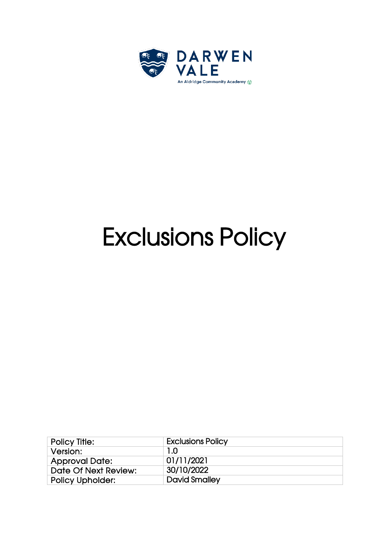

# Exclusions Policy

| <b>Exclusions Policy</b> |
|--------------------------|
| 1.0                      |
| 01/11/2021               |
| 30/10/2022               |
| <b>David Smalley</b>     |
|                          |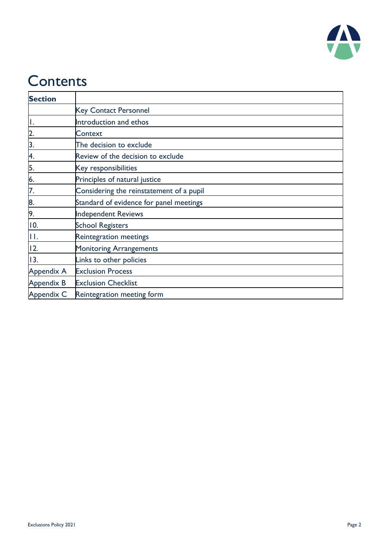

### **Contents**

| <b>Section</b>    |                                          |
|-------------------|------------------------------------------|
|                   | <b>Key Contact Personnel</b>             |
| Ι.                | Introduction and ethos                   |
| $\overline{2}$ .  | Context                                  |
| 3.                | The decision to exclude                  |
| 4.                | Review of the decision to exclude        |
| 5.                | Key responsibilities                     |
| 6.                | Principles of natural justice            |
| 7.                | Considering the reinstatement of a pupil |
| 8.                | Standard of evidence for panel meetings  |
| 9.                | <b>Independent Reviews</b>               |
| 10.               | <b>School Registers</b>                  |
| П.                | Reintegration meetings                   |
| 12.               | <b>Monitoring Arrangements</b>           |
| 13.               | Links to other policies                  |
| <b>Appendix A</b> | <b>Exclusion Process</b>                 |
| Appendix B        | <b>Exclusion Checklist</b>               |
| Appendix C        | Reintegration meeting form               |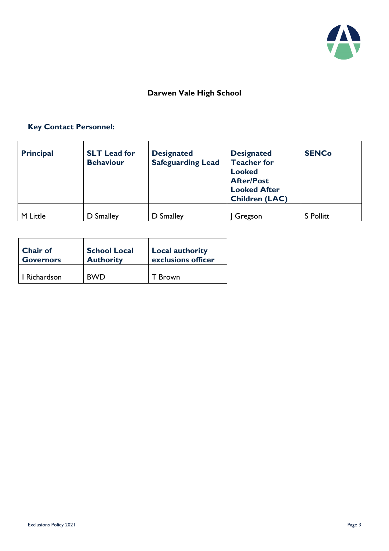

#### **Darwen Vale High School**

#### **Key Contact Personnel:**

| <b>Principal</b> | <b>SLT</b> Lead for<br><b>Behaviour</b> | <b>Designated</b><br><b>Safeguarding Lead</b> | <b>Designated</b><br><b>Teacher for</b><br><b>Looked</b><br><b>After/Post</b><br><b>Looked After</b><br><b>Children (LAC)</b> | <b>SENCo</b>     |
|------------------|-----------------------------------------|-----------------------------------------------|-------------------------------------------------------------------------------------------------------------------------------|------------------|
| M Little         | D Smalley                               | D Smalley                                     | , Gregson                                                                                                                     | <b>S</b> Pollitt |

| Chair of         | <b>School Local</b> | <b>Local authority</b> |
|------------------|---------------------|------------------------|
| <b>Governors</b> | <b>Authority</b>    | exclusions officer     |
| I Richardson     | <b>BWD</b>          | <b>Brown</b>           |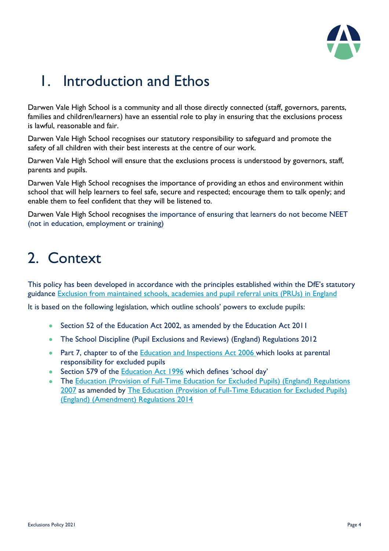

### 1. Introduction and Ethos

Darwen Vale High School is a community and all those directly connected (staff, governors, parents, families and children/learners) have an essential role to play in ensuring that the exclusions process is lawful, reasonable and fair.

Darwen Vale High School recognises our statutory responsibility to safeguard and promote the safety of all children with their best interests at the centre of our work.

Darwen Vale High School will ensure that the exclusions process is understood by governors, staff, parents and pupils.

Darwen Vale High School recognises the importance of providing an ethos and environment within school that will help learners to feel safe, secure and respected; encourage them to talk openly; and enable them to feel confident that they will be listened to.

Darwen Vale High School recognises the importance of ensuring that learners do not become NEET (not in education, employment or training)

### 2. Context

This policy has been developed in accordance with the principles established within the DfE's statutory guidance [Exclusion from maintained schools, academies and pupil referral units \(PRUs\) in England](https://www.gov.uk/government/publications/school-exclusion)

It is based on the following legislation, which outline schools' powers to exclude pupils:

- Section 52 of the [Education Act 2002,](http://www.legislation.gov.uk/ukpga/2002/32/section/52) as amended by the [Education Act 2011](http://www.legislation.gov.uk/ukpga/2011/21/contents/enacted)
- [The School Discipline \(Pupil Exclusions and Reviews\) \(England\) Regulations 2012](http://www.legislation.gov.uk/uksi/2012/1033/made)
- Part 7, chapter to of the [Education and Inspections Act 2006](http://www.legislation.gov.uk/ukpga/2006/40/part/7/chapter/2) which looks at parental responsibility for excluded pupils
- Section 579 of the **Education Act 1996** which defines 'school day'
- The Education (Provision of Full-Time Education for Excluded Pupils) (England) Regulations [2007](http://www.legislation.gov.uk/uksi/2007/1870/contents/made) as amended by [The Education \(Provision of Full-Time Education for Excluded Pupils\)](http://www.legislation.gov.uk/uksi/2014/3216/contents/made)  [\(England\) \(Amendment\) Regulations 2014](http://www.legislation.gov.uk/uksi/2014/3216/contents/made)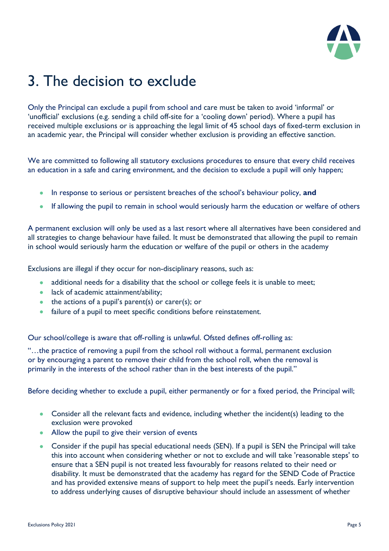

### 3. The decision to exclude

Only the Principal can exclude a pupil from school and care must be taken to avoid 'informal' or 'unofficial' exclusions (e.g. sending a child off-site for a 'cooling down' period). Where a pupil has received multiple exclusions or is approaching the legal limit of 45 school days of fixed-term exclusion in an academic year, the Principal will consider whether exclusion is providing an effective sanction.

We are committed to following all statutory exclusions procedures to ensure that every child receives an education in a safe and caring environment, and the decision to exclude a pupil will only happen;

- In response to serious or persistent breaches of the school's behaviour policy, **and**
- If allowing the pupil to remain in school would seriously harm the education or welfare of others

A permanent exclusion will only be used as a last resort where all alternatives have been considered and all strategies to change behaviour have failed. It must be demonstrated that allowing the pupil to remain in school would seriously harm the education or welfare of the pupil or others in the academy

Exclusions are illegal if they occur for non-disciplinary reasons, such as:

- additional needs for a disability that the school or college feels it is unable to meet;
- lack of academic attainment/ability;
- the actions of a pupil's parent(s) or carer(s); or
- failure of a pupil to meet specific conditions before reinstatement.

Our school/college is aware that off-rolling is unlawful. Ofsted defines off-rolling as:

"…the practice of removing a pupil from the school roll without a formal, permanent exclusion or by encouraging a parent to remove their child from the school roll, when the removal is primarily in the interests of the school rather than in the best interests of the pupil."

Before deciding whether to exclude a pupil, either permanently or for a fixed period, the Principal will;

- Consider all the relevant facts and evidence, including whether the incident(s) leading to the exclusion were provoked
- Allow the pupil to give their version of events
- Consider if the pupil has special educational needs (SEN). If a pupil is SEN the Principal will take this into account when considering whether or not to exclude and will take 'reasonable steps' to ensure that a SEN pupil is not treated less favourably for reasons related to their need or disability. It must be demonstrated that the academy has regard for the SEND Code of Practice and has provided extensive means of support to help meet the pupil's needs. Early intervention to address underlying causes of disruptive behaviour should include an assessment of whether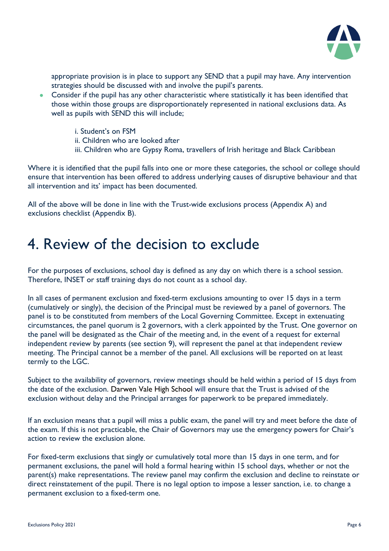

appropriate provision is in place to support any SEND that a pupil may have. Any intervention strategies should be discussed with and involve the pupil's parents.

- Consider if the pupil has any other characteristic where statistically it has been identified that those within those groups are disproportionately represented in national exclusions data. As well as pupils with SEND this will include;
	- i. Student's on FSM
	- ii. Children who are looked after
	- iii. Children who are Gypsy Roma, travellers of Irish heritage and Black Caribbean

Where it is identified that the pupil falls into one or more these categories, the school or college should ensure that intervention has been offered to address underlying causes of disruptive behaviour and that all intervention and its' impact has been documented.

All of the above will be done in line with the Trust-wide exclusions process (Appendix A) and exclusions checklist (Appendix B).

#### 4. Review of the decision to exclude

For the purposes of exclusions, school day is defined as any day on which there is a school session. Therefore, INSET or staff training days do not count as a school day.

In all cases of permanent exclusion and fixed-term exclusions amounting to over 15 days in a term (cumulatively or singly), the decision of the Principal must be reviewed by a panel of governors. The panel is to be constituted from members of the Local Governing Committee. Except in extenuating circumstances, the panel quorum is 2 governors, with a clerk appointed by the Trust. One governor on the panel will be designated as the Chair of the meeting and, in the event of a request for external independent review by parents (see section 9), will represent the panel at that independent review meeting. The Principal cannot be a member of the panel. All exclusions will be reported on at least termly to the LGC.

Subject to the availability of governors, review meetings should be held within a period of 15 days from the date of the exclusion. Darwen Vale High School will ensure that the Trust is advised of the exclusion without delay and the Principal arranges for paperwork to be prepared immediately.

If an exclusion means that a pupil will miss a public exam, the panel will try and meet before the date of the exam. If this is not practicable, the Chair of Governors may use the emergency powers for Chair's action to review the exclusion alone.

For fixed-term exclusions that singly or cumulatively total more than 15 days in one term, and for permanent exclusions, the panel will hold a formal hearing within 15 school days, whether or not the parent(s) make representations. The review panel may confirm the exclusion and decline to reinstate or direct reinstatement of the pupil. There is no legal option to impose a lesser sanction, i.e. to change a permanent exclusion to a fixed-term one.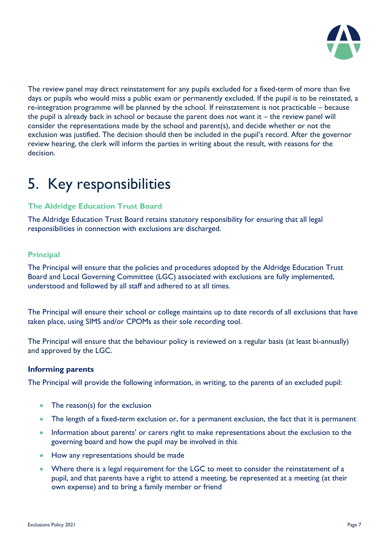

The review panel may direct reinstatement for any pupils excluded for a fixed-term of more than five days or pupils who would miss a public exam or permanently excluded. If the pupil is to be reinstated, a re-integration programme will be planned by the school. If reinstatement is not practicable – because the pupil is already back in school or because the parent does not want it – the review panel will consider the representations made by the school and parent(s), and decide whether or not the exclusion was justified. The decision should then be included in the pupil's record. After the governor review hearing, the clerk will inform the parties in writing about the result, with reasons for the decision.

### 5. Key responsibilities

#### **The Aldridge Education Trust Board**

The Aldridge Education Trust Board retains statutory responsibility for ensuring that all legal responsibilities in connection with exclusions are discharged.

#### **Principal**

The Principal will ensure that the policies and procedures adopted by the Aldridge Education Trust Board and Local Governing Committee (LGC) associated with exclusions are fully implemented, understood and followed by all staff and adhered to at all times.

The Principal will ensure their school or college maintains up to date records of all exclusions that have taken place, using SIMS and/or CPOMs as their sole recording tool.

The Principal will ensure that the behaviour policy is reviewed on a regular basis (at least bi-annually) and approved by the LGC.

#### **Informing parents**

The Principal will provide the following information, in writing, to the parents of an excluded pupil:

- The reason(s) for the exclusion
- The length of a fixed-term exclusion or, for a permanent exclusion, the fact that it is permanent
- Information about parents' or carers right to make representations about the exclusion to the governing board and how the pupil may be involved in this
- How any representations should be made
- Where there is a legal requirement for the LGC to meet to consider the reinstatement of a pupil, and that parents have a right to attend a meeting, be represented at a meeting (at their own expense) and to bring a family member or friend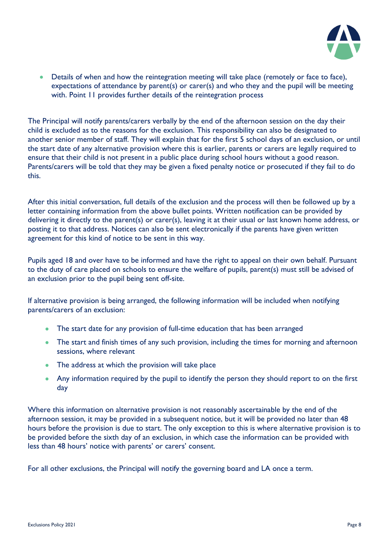

• Details of when and how the reintegration meeting will take place (remotely or face to face), expectations of attendance by parent(s) or carer(s) and who they and the pupil will be meeting with. Point 11 provides further details of the reintegration process

The Principal will notify parents/carers verbally by the end of the afternoon session on the day their child is excluded as to the reasons for the exclusion. This responsibility can also be designated to another senior member of staff. They will explain that for the first 5 school days of an exclusion, or until the start date of any alternative provision where this is earlier, parents or carers are legally required to ensure that their child is not present in a public place during school hours without a good reason. Parents/carers will be told that they may be given a fixed penalty notice or prosecuted if they fail to do this.

After this initial conversation, full details of the exclusion and the process will then be followed up by a letter containing information from the above bullet points. Written notification can be provided by delivering it directly to the parent(s) or carer(s), leaving it at their usual or last known home address, or posting it to that address. Notices can also be sent electronically if the parents have given written agreement for this kind of notice to be sent in this way.

Pupils aged 18 and over have to be informed and have the right to appeal on their own behalf. Pursuant to the duty of care placed on schools to ensure the welfare of pupils, parent(s) must still be advised of an exclusion prior to the pupil being sent off-site.

If alternative provision is being arranged, the following information will be included when notifying parents/carers of an exclusion:

- The start date for any provision of full-time education that has been arranged
- The start and finish times of any such provision, including the times for morning and afternoon sessions, where relevant
- The address at which the provision will take place
- Any information required by the pupil to identify the person they should report to on the first day

Where this information on alternative provision is not reasonably ascertainable by the end of the afternoon session, it may be provided in a subsequent notice, but it will be provided no later than 48 hours before the provision is due to start. The only exception to this is where alternative provision is to be provided before the sixth day of an exclusion, in which case the information can be provided with less than 48 hours' notice with parents' or carers' consent.

For all other exclusions, the Principal will notify the governing board and LA once a term.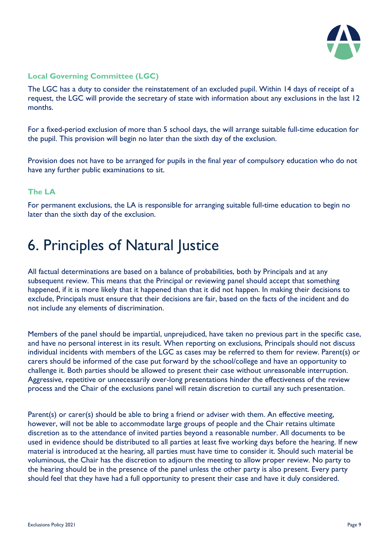

#### **Local Governing Committee (LGC)**

The LGC has a duty to consider the reinstatement of an excluded pupil. Within 14 days of receipt of a request, the LGC will provide the secretary of state with information about any exclusions in the last 12 months.

For a fixed-period exclusion of more than 5 school days, the will arrange suitable full-time education for the pupil. This provision will begin no later than the sixth day of the exclusion.

Provision does not have to be arranged for pupils in the final year of compulsory education who do not have any further public examinations to sit.

#### **The LA**

For permanent exclusions, the LA is responsible for arranging suitable full-time education to begin no later than the sixth day of the exclusion.

### 6. Principles of Natural Justice

All factual determinations are based on a balance of probabilities, both by Principals and at any subsequent review. This means that the Principal or reviewing panel should accept that something happened, if it is more likely that it happened than that it did not happen. In making their decisions to exclude, Principals must ensure that their decisions are fair, based on the facts of the incident and do not include any elements of discrimination.

Members of the panel should be impartial, unprejudiced, have taken no previous part in the specific case, and have no personal interest in its result. When reporting on exclusions, Principals should not discuss individual incidents with members of the LGC as cases may be referred to them for review. Parent(s) or carers should be informed of the case put forward by the school/college and have an opportunity to challenge it. Both parties should be allowed to present their case without unreasonable interruption. Aggressive, repetitive or unnecessarily over-long presentations hinder the effectiveness of the review process and the Chair of the exclusions panel will retain discretion to curtail any such presentation.

Parent(s) or carer(s) should be able to bring a friend or adviser with them. An effective meeting, however, will not be able to accommodate large groups of people and the Chair retains ultimate discretion as to the attendance of invited parties beyond a reasonable number. All documents to be used in evidence should be distributed to all parties at least five working days before the hearing. If new material is introduced at the hearing, all parties must have time to consider it. Should such material be voluminous, the Chair has the discretion to adjourn the meeting to allow proper review. No party to the hearing should be in the presence of the panel unless the other party is also present. Every party should feel that they have had a full opportunity to present their case and have it duly considered.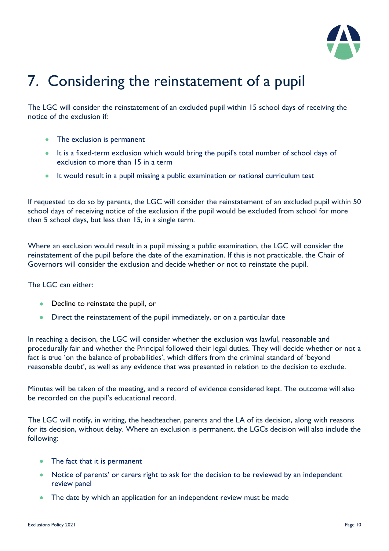

# 7. Considering the reinstatement of a pupil

The LGC will consider the reinstatement of an excluded pupil within 15 school days of receiving the notice of the exclusion if:

- The exclusion is permanent
- It is a fixed-term exclusion which would bring the pupil's total number of school days of exclusion to more than 15 in a term
- It would result in a pupil missing a public examination or national curriculum test

If requested to do so by parents, the LGC will consider the reinstatement of an excluded pupil within 50 school days of receiving notice of the exclusion if the pupil would be excluded from school for more than 5 school days, but less than 15, in a single term.

Where an exclusion would result in a pupil missing a public examination, the LGC will consider the reinstatement of the pupil before the date of the examination. If this is not practicable, the Chair of Governors will consider the exclusion and decide whether or not to reinstate the pupil.

The LGC can either:

- Decline to reinstate the pupil, or
- Direct the reinstatement of the pupil immediately, or on a particular date

In reaching a decision, the LGC will consider whether the exclusion was lawful, reasonable and procedurally fair and whether the Principal followed their legal duties. They will decide whether or not a fact is true 'on the balance of probabilities', which differs from the criminal standard of 'beyond reasonable doubt', as well as any evidence that was presented in relation to the decision to exclude.

Minutes will be taken of the meeting, and a record of evidence considered kept. The outcome will also be recorded on the pupil's educational record.

The LGC will notify, in writing, the headteacher, parents and the LA of its decision, along with reasons for its decision, without delay. Where an exclusion is permanent, the LGCs decision will also include the following:

- The fact that it is permanent
- Notice of parents' or carers right to ask for the decision to be reviewed by an independent review panel
- The date by which an application for an independent review must be made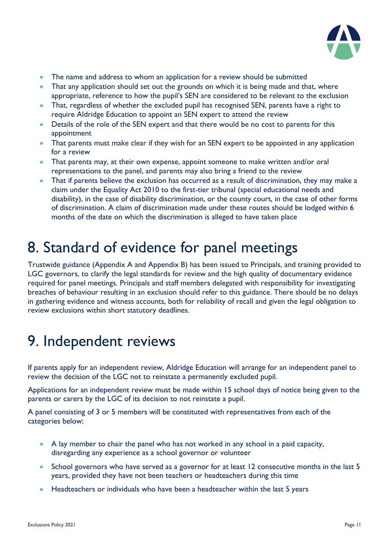

- The name and address to whom an application for a review should be submitted
- That any application should set out the grounds on which it is being made and that, where appropriate, reference to how the pupil's SEN are considered to be relevant to the exclusion
- That, regardless of whether the excluded pupil has recognised SEN, parents have a right to require Aldridge Education to appoint an SEN expert to attend the review
- Details of the role of the SEN expert and that there would be no cost to parents for this appointment
- That parents must make clear if they wish for an SEN expert to be appointed in any application for a review
- That parents may, at their own expense, appoint someone to make written and/or oral representations to the panel, and parents may also bring a friend to the review
- That if parents believe the exclusion has occurred as a result of discrimination, they may make a claim under the Equality Act 2010 to the first-tier tribunal (special educational needs and disability), in the case of disability discrimination, or the county court, in the case of other forms of discrimination. A claim of discrimination made under these routes should be lodged within 6 months of the date on which the discrimination is alleged to have taken place

### 8. Standard of evidence for panel meetings

Trustwide guidance (Appendix A and Appendix B) has been issued to Principals, and training provided to LGC governors, to clarify the legal standards for review and the high quality of documentary evidence required for panel meetings. Principals and staff members delegated with responsibility for investigating breaches of behaviour resulting in an exclusion should refer to this guidance. There should be no delays in gathering evidence and witness accounts, both for reliability of recall and given the legal obligation to review exclusions within short statutory deadlines.

### 9. Independent reviews

If parents apply for an independent review, Aldridge Education will arrange for an independent panel to review the decision of the LGC not to reinstate a permanently excluded pupil.

Applications for an independent review must be made within 15 school days of notice being given to the parents or carers by the LGC of its decision to not reinstate a pupil.

A panel consisting of 3 or 5 members will be constituted with representatives from each of the categories below:

- A lay member to chair the panel who has not worked in any school in a paid capacity, disregarding any experience as a school governor or volunteer
- School governors who have served as a governor for at least 12 consecutive months in the last 5 years, provided they have not been teachers or headteachers during this time
- Headteachers or individuals who have been a headteacher within the last 5 years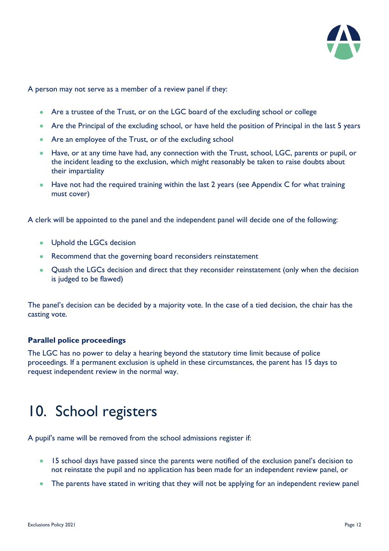

A person may not serve as a member of a review panel if they:

- Are a trustee of the Trust, or on the LGC board of the excluding school or college
- Are the Principal of the excluding school, or have held the position of Principal in the last 5 years
- Are an employee of the Trust, or of the excluding school
- Have, or at any time have had, any connection with the Trust, school, LGC, parents or pupil, or the incident leading to the exclusion, which might reasonably be taken to raise doubts about their impartiality
- Have not had the required training within the last 2 years (see Appendix C for what training must cover)

A clerk will be appointed to the panel and the independent panel will decide one of the following:

- Uphold the LGCs decision
- Recommend that the governing board reconsiders reinstatement
- Quash the LGCs decision and direct that they reconsider reinstatement (only when the decision is judged to be flawed)

The panel's decision can be decided by a majority vote. In the case of a tied decision, the chair has the casting vote.

#### **Parallel police proceedings**

The LGC has no power to delay a hearing beyond the statutory time limit because of police proceedings. If a permanent exclusion is upheld in these circumstances, the parent has 15 days to request independent review in the normal way.

### 10. School registers

A pupil's name will be removed from the school admissions register if:

- 15 school days have passed since the parents were notified of the exclusion panel's decision to not reinstate the pupil and no application has been made for an independent review panel, or
- The parents have stated in writing that they will not be applying for an independent review panel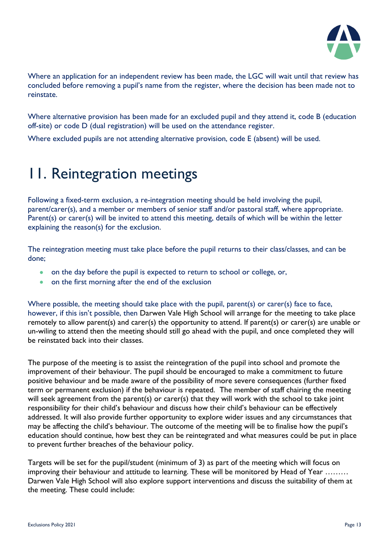

Where an application for an independent review has been made, the LGC will wait until that review has concluded before removing a pupil's name from the register, where the decision has been made not to reinstate.

Where alternative provision has been made for an excluded pupil and they attend it, code B (education off-site) or code D (dual registration) will be used on the attendance register.

Where excluded pupils are not attending alternative provision, code E (absent) will be used.

### 11. Reintegration meetings

Following a fixed-term exclusion, a re-integration meeting should be held involving the pupil, parent/carer(s), and a member or members of senior staff and/or pastoral staff, where appropriate. Parent(s) or carer(s) will be invited to attend this meeting, details of which will be within the letter explaining the reason(s) for the exclusion.

The reintegration meeting must take place before the pupil returns to their class/classes, and can be done;

- on the day before the pupil is expected to return to school or college, or,
- on the first morning after the end of the exclusion

Where possible, the meeting should take place with the pupil, parent(s) or carer(s) face to face, however, if this isn't possible, then Darwen Vale High School will arrange for the meeting to take place remotely to allow parent(s) and carer(s) the opportunity to attend. If parent(s) or carer(s) are unable or un-wiling to attend then the meeting should still go ahead with the pupil, and once completed they will be reinstated back into their classes.

The purpose of the meeting is to assist the reintegration of the pupil into school and promote the improvement of their behaviour. The pupil should be encouraged to make a commitment to future positive behaviour and be made aware of the possibility of more severe consequences (further fixed term or permanent exclusion) if the behaviour is repeated. The member of staff chairing the meeting will seek agreement from the parent(s) or carer(s) that they will work with the school to take joint responsibility for their child's behaviour and discuss how their child's behaviour can be effectively addressed. It will also provide further opportunity to explore wider issues and any circumstances that may be affecting the child's behaviour. The outcome of the meeting will be to finalise how the pupil's education should continue, how best they can be reintegrated and what measures could be put in place to prevent further breaches of the behaviour policy.

Targets will be set for the pupil/student (minimum of 3) as part of the meeting which will focus on improving their behaviour and attitude to learning. These will be monitored by Head of Year ……… Darwen Vale High School will also explore support interventions and discuss the suitability of them at the meeting. These could include: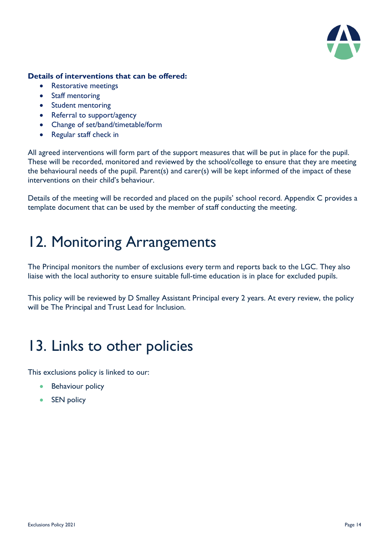

#### **Details of interventions that can be offered:**

- Restorative meetings
- Staff mentoring
- Student mentoring
- Referral to support/agency
- Change of set/band/timetable/form
- Regular staff check in

All agreed interventions will form part of the support measures that will be put in place for the pupil. These will be recorded, monitored and reviewed by the school/college to ensure that they are meeting the behavioural needs of the pupil. Parent(s) and carer(s) will be kept informed of the impact of these interventions on their child's behaviour.

Details of the meeting will be recorded and placed on the pupils' school record. Appendix C provides a template document that can be used by the member of staff conducting the meeting.

### 12. Monitoring Arrangements

The Principal monitors the number of exclusions every term and reports back to the LGC. They also liaise with the local authority to ensure suitable full-time education is in place for excluded pupils.

This policy will be reviewed by D Smalley Assistant Principal every 2 years. At every review, the policy will be The Principal and Trust Lead for Inclusion.

### 13. Links to other policies

This exclusions policy is linked to our:

- Behaviour policy
- SEN policy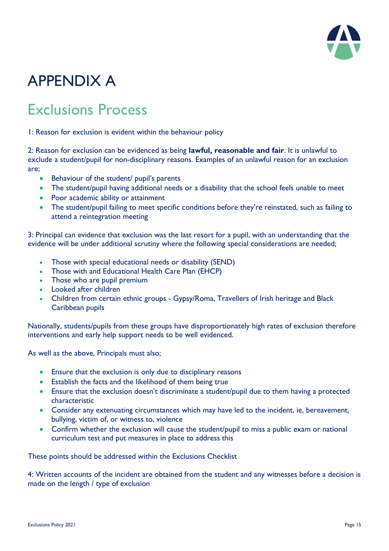

# APPENDIX A

### Exclusions Process

1: Reason for exclusion is evident within the behaviour policy

2: Reason for exclusion can be evidenced as being **lawful, reasonable and fair**. It is unlawful to exclude a student/pupil for non-disciplinary reasons. Examples of an unlawful reason for an exclusion are;

- Behaviour of the student/ pupil's parents
- The student/pupil having additional needs or a disability that the school feels unable to meet
- Poor academic ability or attainment
- The student/pupil failing to meet specific conditions before they're reinstated, such as failing to attend a reintegration meeting

3: Principal can evidence that exclusion was the last resort for a pupil, with an understanding that the evidence will be under additional scrutiny where the following special considerations are needed;

- Those with special educational needs or disability (SEND)
- Those with and Educational Health Care Plan (EHCP)
- Those who are pupil premium
- Looked after children
- Children from certain ethnic groups Gypsy/Roma, Travellers of Irish heritage and Black Caribbean pupils

Nationally, students/pupils from these groups have disproportionately high rates of exclusion therefore interventions and early help support needs to be well evidenced.

As well as the above, Principals must also;

- Ensure that the exclusion is only due to disciplinary reasons
- Establish the facts and the likelihood of them being true
- Ensure that the exclusion doesn't discriminate a student/pupil due to them having a protected characteristic
- Consider any extenuating circumstances which may have led to the incident, ie, bereavement, bullying, victim of, or witness to, violence
- Confirm whether the exclusion will cause the student/pupil to miss a public exam or national curriculum test and put measures in place to address this

These points should be addressed within the Exclusions Checklist

4: Written accounts of the incident are obtained from the student and any witnesses before a decision is made on the length / type of exclusion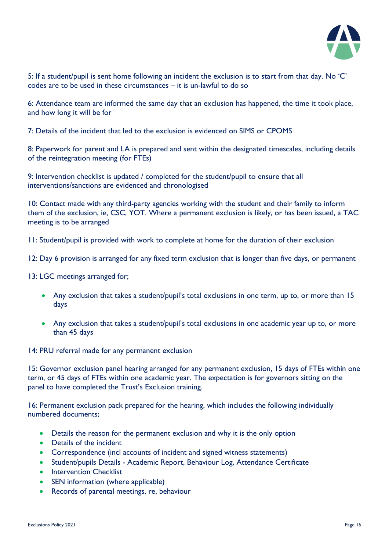

5: If a student/pupil is sent home following an incident the exclusion is to start from that day. No 'C' codes are to be used in these circumstances – it is un-lawful to do so

6: Attendance team are informed the same day that an exclusion has happened, the time it took place, and how long it will be for

7: Details of the incident that led to the exclusion is evidenced on SIMS or CPOMS

8: Paperwork for parent and LA is prepared and sent within the designated timescales, including details of the reintegration meeting (for FTEs)

9: Intervention checklist is updated / completed for the student/pupil to ensure that all interventions/sanctions are evidenced and chronologised

10: Contact made with any third-party agencies working with the student and their family to inform them of the exclusion, ie, CSC, YOT. Where a permanent exclusion is likely, or has been issued, a TAC meeting is to be arranged

11: Student/pupil is provided with work to complete at home for the duration of their exclusion

12: Day 6 provision is arranged for any fixed term exclusion that is longer than five days, or permanent

13: LGC meetings arranged for;

- Any exclusion that takes a student/pupil's total exclusions in one term, up to, or more than 15 days
- Any exclusion that takes a student/pupil's total exclusions in one academic year up to, or more than 45 days

14: PRU referral made for any permanent exclusion

15: Governor exclusion panel hearing arranged for any permanent exclusion, 15 days of FTEs within one term, or 45 days of FTEs within one academic year. The expectation is for governors sitting on the panel to have completed the Trust's Exclusion training.

16: Permanent exclusion pack prepared for the hearing, which includes the following individually numbered documents;

- Details the reason for the permanent exclusion and why it is the only option
- Details of the incident
- Correspondence (incl accounts of incident and signed witness statements)
- Student/pupils Details Academic Report, Behaviour Log, Attendance Certificate
- Intervention Checklist
- SEN information (where applicable)
- Records of parental meetings, re, behaviour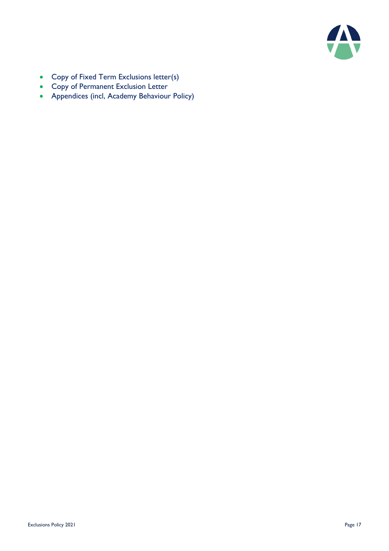

- Copy of Fixed Term Exclusions letter(s)
- Copy of Permanent Exclusion Letter
- Appendices (incl, Academy Behaviour Policy)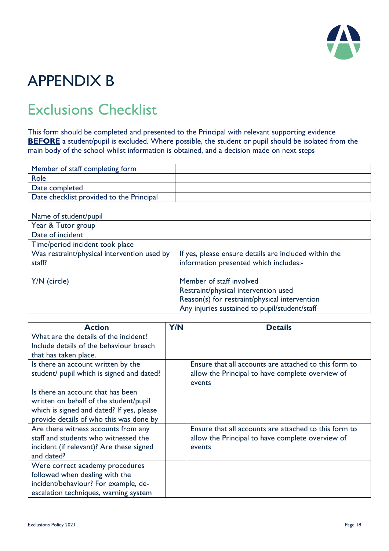

## APPENDIX B

### Exclusions Checklist

This form should be completed and presented to the Principal with relevant supporting evidence **BEFORE** a student/pupil is excluded. Where possible, the student or pupil should be isolated from the main body of the school whilst information is obtained, and a decision made on next steps

| Member of staff completing form          |  |
|------------------------------------------|--|
| Role                                     |  |
| Date completed                           |  |
| Date checklist provided to the Principal |  |

| Name of student/pupil                                 |                                                                                                                                                                    |
|-------------------------------------------------------|--------------------------------------------------------------------------------------------------------------------------------------------------------------------|
| Year & Tutor group                                    |                                                                                                                                                                    |
| Date of incident                                      |                                                                                                                                                                    |
| Time/period incident took place                       |                                                                                                                                                                    |
| Was restraint/physical intervention used by<br>staff? | If yes, please ensure details are included within the<br>information presented which includes:-                                                                    |
| Y/N (circle)                                          | Member of staff involved<br>Restraint/physical intervention used<br>Reason(s) for restraint/physical intervention<br>Any injuries sustained to pupil/student/staff |

| <b>Action</b>                             | Y/N | <b>Details</b>                                        |
|-------------------------------------------|-----|-------------------------------------------------------|
| What are the details of the incident?     |     |                                                       |
| Include details of the behaviour breach   |     |                                                       |
| that has taken place.                     |     |                                                       |
| Is there an account written by the        |     | Ensure that all accounts are attached to this form to |
| student/ pupil which is signed and dated? |     | allow the Principal to have complete overview of      |
|                                           |     | events                                                |
| Is there an account that has been         |     |                                                       |
| written on behalf of the student/pupil    |     |                                                       |
| which is signed and dated? If yes, please |     |                                                       |
| provide details of who this was done by   |     |                                                       |
| Are there witness accounts from any       |     | Ensure that all accounts are attached to this form to |
| staff and students who witnessed the      |     | allow the Principal to have complete overview of      |
| incident (if relevant)? Are these signed  |     | events                                                |
| and dated?                                |     |                                                       |
| Were correct academy procedures           |     |                                                       |
| followed when dealing with the            |     |                                                       |
| incident/behaviour? For example, de-      |     |                                                       |
| escalation techniques, warning system     |     |                                                       |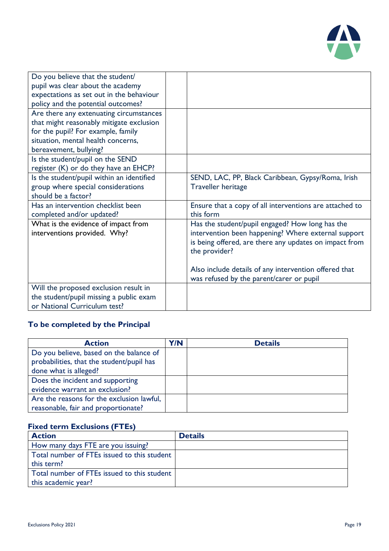

| Do you believe that the student/          |                                                         |
|-------------------------------------------|---------------------------------------------------------|
| pupil was clear about the academy         |                                                         |
| expectations as set out in the behaviour  |                                                         |
| policy and the potential outcomes?        |                                                         |
| Are there any extenuating circumstances   |                                                         |
| that might reasonably mitigate exclusion  |                                                         |
| for the pupil? For example, family        |                                                         |
| situation, mental health concerns,        |                                                         |
| bereavement, bullying?                    |                                                         |
| Is the student/pupil on the SEND          |                                                         |
| register (K) or do they have an EHCP?     |                                                         |
| Is the student/pupil within an identified | SEND, LAC, PP, Black Caribbean, Gypsy/Roma, Irish       |
| group where special considerations        | <b>Traveller heritage</b>                               |
| should be a factor?                       |                                                         |
| Has an intervention checklist been        | Ensure that a copy of all interventions are attached to |
| completed and/or updated?                 | this form                                               |
| What is the evidence of impact from       | Has the student/pupil engaged? How long has the         |
| interventions provided. Why?              | intervention been happening? Where external support     |
|                                           | is being offered, are there any updates on impact from  |
|                                           | the provider?                                           |
|                                           |                                                         |
|                                           | Also include details of any intervention offered that   |
|                                           | was refused by the parent/carer or pupil                |
| Will the proposed exclusion result in     |                                                         |
| the student/pupil missing a public exam   |                                                         |
| or National Curriculum test?              |                                                         |

#### **To be completed by the Principal**

| <b>Action</b>                                                                                                 | Y/N | <b>Details</b> |
|---------------------------------------------------------------------------------------------------------------|-----|----------------|
| Do you believe, based on the balance of<br>probabilities, that the student/pupil has<br>done what is alleged? |     |                |
| Does the incident and supporting<br>evidence warrant an exclusion?                                            |     |                |
| Are the reasons for the exclusion lawful,<br>reasonable, fair and proportionate?                              |     |                |

#### **Fixed term Exclusions (FTEs)**

| <b>Action</b>                               | <b>Details</b> |
|---------------------------------------------|----------------|
| How many days FTE are you issuing?          |                |
| Total number of FTEs issued to this student |                |
| this term?                                  |                |
| Total number of FTEs issued to this student |                |
| this academic year?                         |                |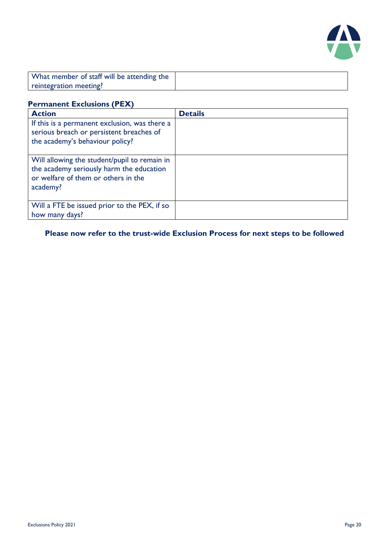

| What member of staff will be attending the |  |
|--------------------------------------------|--|
| reintegration meeting?                     |  |

#### **Permanent Exclusions (PEX)**

| <b>Action</b>                                                                                                                               | <b>Details</b> |
|---------------------------------------------------------------------------------------------------------------------------------------------|----------------|
| If this is a permanent exclusion, was there a<br>serious breach or persistent breaches of<br>the academy's behaviour policy?                |                |
| Will allowing the student/pupil to remain in<br>the academy seriously harm the education<br>or welfare of them or others in the<br>academy? |                |
| Will a FTE be issued prior to the PEX, if so<br>how many days?                                                                              |                |

**Please now refer to the trust-wide Exclusion Process for next steps to be followed**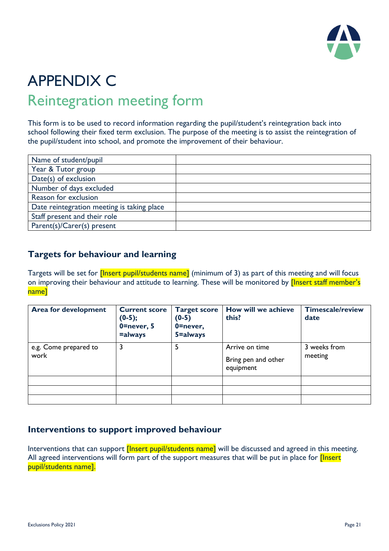

### APPENDIX C Reintegration meeting form

This form is to be used to record information regarding the pupil/student's reintegration back into school following their fixed term exclusion. The purpose of the meeting is to assist the reintegration of the pupil/student into school, and promote the improvement of their behaviour.

| Name of student/pupil                      |  |
|--------------------------------------------|--|
| Year & Tutor group                         |  |
| Date(s) of exclusion                       |  |
| Number of days excluded                    |  |
| Reason for exclusion                       |  |
| Date reintegration meeting is taking place |  |
| Staff present and their role               |  |
| Parent(s)/Carer(s) present                 |  |

#### **Targets for behaviour and learning**

Targets will be set for *[Insert pupil/students name]* (minimum of 3) as part of this meeting and will focus on improving their behaviour and attitude to learning. These will be monitored by *[Insert staff member's* name]

| <b>Area for development</b>   | <b>Current score</b><br>$(0-5);$<br>$0$ =never, 5<br>=always | <b>Target score</b><br>$(0-5)$<br>$0$ =never,<br>5=always | How will we achieve<br>this?                       | <b>Timescale/review</b><br>date |
|-------------------------------|--------------------------------------------------------------|-----------------------------------------------------------|----------------------------------------------------|---------------------------------|
| e.g. Come prepared to<br>work |                                                              | 5                                                         | Arrive on time<br>Bring pen and other<br>equipment | 3 weeks from<br>meeting         |
|                               |                                                              |                                                           |                                                    |                                 |
|                               |                                                              |                                                           |                                                    |                                 |
|                               |                                                              |                                                           |                                                    |                                 |

#### **Interventions to support improved behaviour**

Interventions that can support *[Insert pupil/students name]* will be discussed and agreed in this meeting. All agreed interventions will form part of the support measures that will be put in place for *[Insert*] pupil/students name].